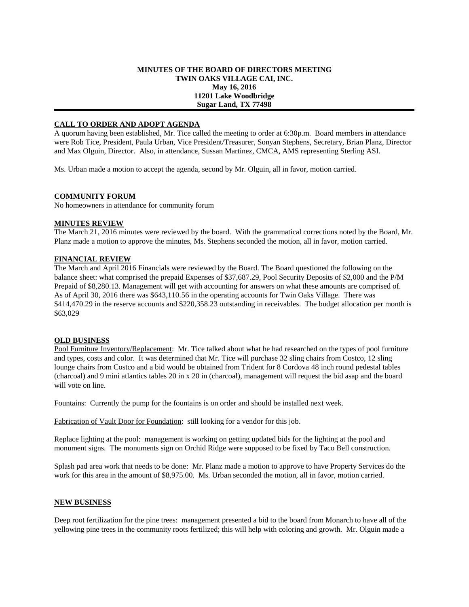## **MINUTES OF THE BOARD OF DIRECTORS MEETING TWIN OAKS VILLAGE CAI, INC. May 16, 2016 11201 Lake Woodbridge Sugar Land, TX 77498**

# **CALL TO ORDER AND ADOPT AGENDA**

A quorum having been established, Mr. Tice called the meeting to order at 6:30p.m. Board members in attendance were Rob Tice, President, Paula Urban, Vice President/Treasurer, Sonyan Stephens, Secretary, Brian Planz, Director and Max Olguin, Director. Also, in attendance, Sussan Martinez, CMCA, AMS representing Sterling ASI.

Ms. Urban made a motion to accept the agenda, second by Mr. Olguin, all in favor, motion carried.

### **COMMUNITY FORUM**

No homeowners in attendance for community forum

### **MINUTES REVIEW**

The March 21, 2016 minutes were reviewed by the board. With the grammatical corrections noted by the Board, Mr. Planz made a motion to approve the minutes, Ms. Stephens seconded the motion, all in favor, motion carried.

## **FINANCIAL REVIEW**

The March and April 2016 Financials were reviewed by the Board. The Board questioned the following on the balance sheet: what comprised the prepaid Expenses of \$37,687.29, Pool Security Deposits of \$2,000 and the P/M Prepaid of \$8,280.13. Management will get with accounting for answers on what these amounts are comprised of. As of April 30, 2016 there was \$643,110.56 in the operating accounts for Twin Oaks Village. There was \$414,470.29 in the reserve accounts and \$220,358.23 outstanding in receivables. The budget allocation per month is \$63,029

### **OLD BUSINESS**

Pool Furniture Inventory/Replacement: Mr. Tice talked about what he had researched on the types of pool furniture and types, costs and color. It was determined that Mr. Tice will purchase 32 sling chairs from Costco, 12 sling lounge chairs from Costco and a bid would be obtained from Trident for 8 Cordova 48 inch round pedestal tables (charcoal) and 9 mini atlantics tables 20 in x 20 in (charcoal), management will request the bid asap and the board will vote on line.

Fountains: Currently the pump for the fountains is on order and should be installed next week.

Fabrication of Vault Door for Foundation: still looking for a vendor for this job.

Replace lighting at the pool: management is working on getting updated bids for the lighting at the pool and monument signs. The monuments sign on Orchid Ridge were supposed to be fixed by Taco Bell construction.

Splash pad area work that needs to be done: Mr. Planz made a motion to approve to have Property Services do the work for this area in the amount of \$8,975.00. Ms. Urban seconded the motion, all in favor, motion carried.

### **NEW BUSINESS**

Deep root fertilization for the pine trees: management presented a bid to the board from Monarch to have all of the yellowing pine trees in the community roots fertilized; this will help with coloring and growth. Mr. Olguin made a